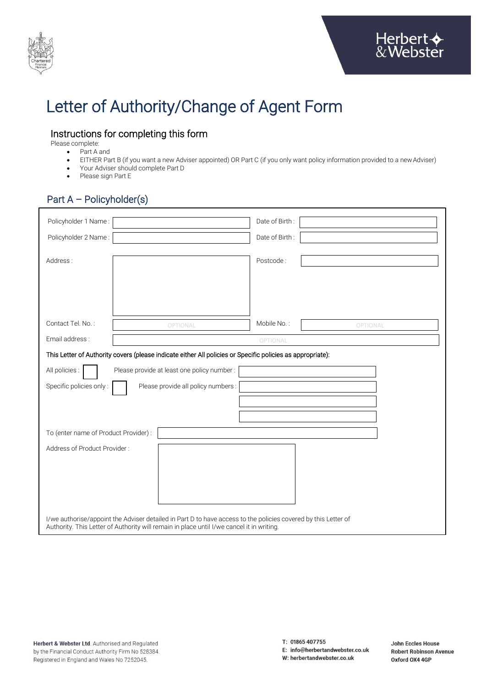

# Letter of Authority/Change of Agent Form

# Instructions for completing this form

Please complete:

- Part A and • EITHER Part B (if you want a new Adviser appointed) OR Part C (if you only want policy information provided to a new Adviser)
- Your Adviser should complete Part D
- Please sign Part E

# Part A – Policyholder(s)

| Policyholder 1 Name:                                                                                           |                                            | Date of Birth: |          |  |  |  |
|----------------------------------------------------------------------------------------------------------------|--------------------------------------------|----------------|----------|--|--|--|
| Policyholder 2 Name:                                                                                           |                                            | Date of Birth: |          |  |  |  |
|                                                                                                                |                                            |                |          |  |  |  |
| Address:                                                                                                       |                                            | Postcode:      |          |  |  |  |
|                                                                                                                |                                            |                |          |  |  |  |
|                                                                                                                |                                            |                |          |  |  |  |
|                                                                                                                |                                            |                |          |  |  |  |
| Contact Tel. No.:                                                                                              | OPTIONAL                                   | Mobile No.:    | OPTIONAL |  |  |  |
| Email address:                                                                                                 |                                            | OPTIONAL       |          |  |  |  |
| This Letter of Authority covers (please indicate either All policies or Specific policies as appropriate):     |                                            |                |          |  |  |  |
| All policies:                                                                                                  | Please provide at least one policy number: |                |          |  |  |  |
| Specific policies only:                                                                                        | Please provide all policy numbers :        |                |          |  |  |  |
|                                                                                                                |                                            |                |          |  |  |  |
|                                                                                                                |                                            |                |          |  |  |  |
| To (enter name of Product Provider) :                                                                          |                                            |                |          |  |  |  |
| Address of Product Provider:                                                                                   |                                            |                |          |  |  |  |
|                                                                                                                |                                            |                |          |  |  |  |
|                                                                                                                |                                            |                |          |  |  |  |
|                                                                                                                |                                            |                |          |  |  |  |
|                                                                                                                |                                            |                |          |  |  |  |
| I/we authorise/appoint the Adviser detailed in Part D to have access to the policies covered by this Letter of |                                            |                |          |  |  |  |
| Authority. This Letter of Authority will remain in place until I/we cancel it in writing.                      |                                            |                |          |  |  |  |